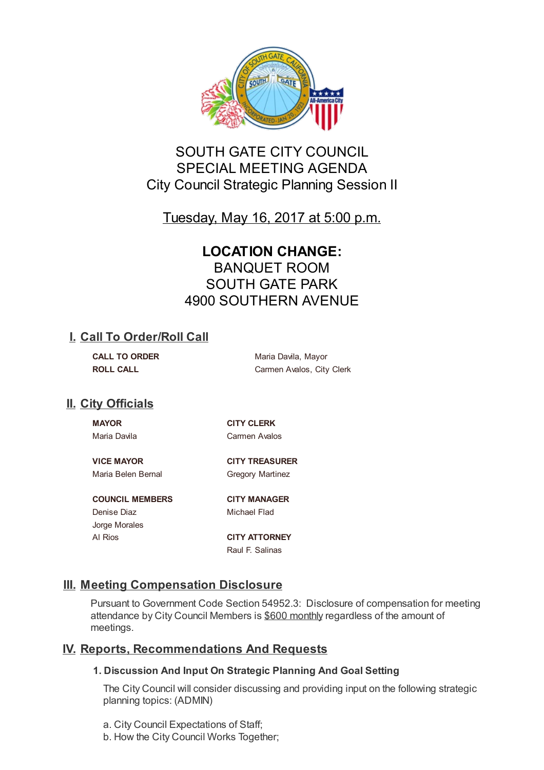

# SOUTH GATE CITY COUNCIL SPECIAL MEETING AGENDA City Council Strategic Planning Session II

Tuesday, May 16, 2017 at 5:00 p.m.

# **LOCATION CHANGE:** BANQUET ROOM SOUTH GATE PARK 4900 SOUTHERN AVENUE

# **I. Call To Order/Roll Call**

**CALL TO ORDER** Maria Davila, Mayor **ROLL CALL CALL CALL CALL CALL CALL CALL CALL CALL CALL CALL CALL** 

# **II. City Officials**

**MAYOR CITY CLERK** Maria Davila **Carmen Avalos** 

Maria Belen Bernal **Gregory Martinez** 

**VICE MAYOR CITY TREASURER**

**COUNCIL MEMBERS CITY MANAGER** Denise Diaz **Michael Flad** Jorge Morales Al Rios **CITY ATTORNEY**

Raul F. Salinas

# **III. Meeting Compensation Disclosure**

Pursuant to Government Code Section 54952.3: Disclosure of compensation for meeting attendance by City Council Members is \$600 monthly regardless of the amount of meetings.

# **IV. Reports, Recommendations And Requests**

## **1. Discussion And Input On Strategic Planning And Goal Setting**

The City Council will consider discussing and providing input on the following strategic planning topics: (ADMIN)

- a. City Council Expectations of Staff;
- b. How the City Council Works Together;